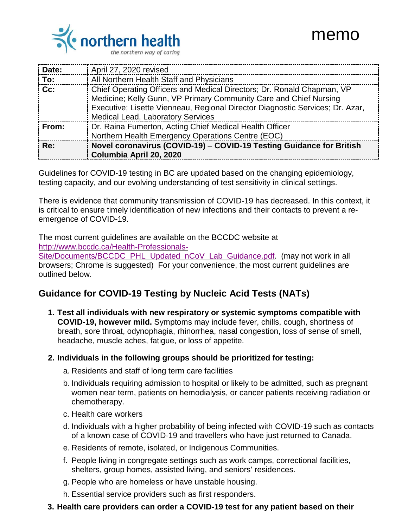

# memo

| Date:             | April 27, 2020 revised                                                                                                                                                                                                                                                   |
|-------------------|--------------------------------------------------------------------------------------------------------------------------------------------------------------------------------------------------------------------------------------------------------------------------|
| $\frac{1}{2}$ To: | All Northern Health Staff and Physicians                                                                                                                                                                                                                                 |
| $ $ Cc:           | Chief Operating Officers and Medical Directors; Dr. Ronald Chapman, VP<br>Medicine; Kelly Gunn, VP Primary Community Care and Chief Nursing<br>Executive; Lisette Vienneau, Regional Director Diagnostic Services; Dr. Azar,<br><b>Medical Lead, Laboratory Services</b> |
| From:             | Dr. Raina Fumerton, Acting Chief Medical Health Officer<br>Northern Health Emergency Operations Centre (EOC)                                                                                                                                                             |
| : Re:             | Novel coronavirus (COVID-19) - COVID-19 Testing Guidance for British<br>Columbia April 20, 2020                                                                                                                                                                          |

Guidelines for COVID-19 testing in BC are updated based on the changing epidemiology, testing capacity, and our evolving understanding of test sensitivity in clinical settings.

There is evidence that community transmission of COVID-19 has decreased. In this context, it is critical to ensure timely identification of new infections and their contacts to prevent a reemergence of COVID-19.

The most current guidelines are available on the BCCDC website at [http://www.bccdc.ca/Health-Professionals-](http://www.bccdc.ca/Health-Professionals-Site/Documents/BCCDC_PHL_Updated_nCoV_Lab_Guidance.pdf)

[Site/Documents/BCCDC\\_PHL\\_Updated\\_nCoV\\_Lab\\_Guidance.pdf.](http://www.bccdc.ca/Health-Professionals-Site/Documents/BCCDC_PHL_Updated_nCoV_Lab_Guidance.pdf) (may not work in all browsers; Chrome is suggested) For your convenience, the most current guidelines are outlined below.

## **Guidance for COVID-19 Testing by Nucleic Acid Tests (NATs)**

**1. Test all individuals with new respiratory or systemic symptoms compatible with COVID-19, however mild.** Symptoms may include fever, chills, cough, shortness of breath, sore throat, odynophagia, rhinorrhea, nasal congestion, loss of sense of smell, headache, muscle aches, fatigue, or loss of appetite.

#### **2. Individuals in the following groups should be prioritized for testing:**

- a. Residents and staff of long term care facilities
- b. Individuals requiring admission to hospital or likely to be admitted, such as pregnant women near term, patients on hemodialysis, or cancer patients receiving radiation or chemotherapy.
- c. Health care workers
- d. Individuals with a higher probability of being infected with COVID-19 such as contacts of a known case of COVID-19 and travellers who have just returned to Canada.
- e. Residents of remote, isolated, or Indigenous Communities.
- f. People living in congregate settings such as work camps, correctional facilities, shelters, group homes, assisted living, and seniors' residences.
- g. People who are homeless or have unstable housing.
- h. Essential service providers such as first responders.
- **3. Health care providers can order a COVID-19 test for any patient based on their**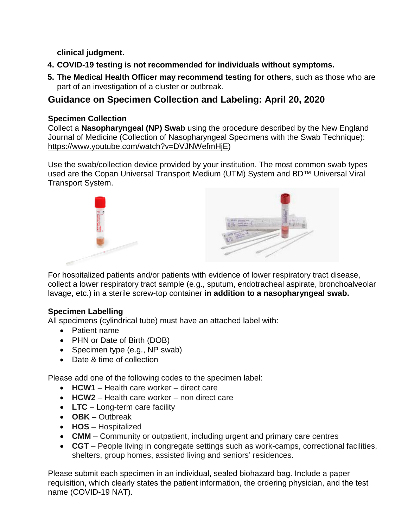**clinical judgment.**

- **4. COVID-19 testing is not recommended for individuals without symptoms.**
- **5. The Medical Health Officer may recommend testing for others**, such as those who are part of an investigation of a cluster or outbreak.

## **Guidance on Specimen Collection and Labeling: April 20, 2020**

### **Specimen Collection**

Collect a **Nasopharyngeal (NP) Swab** using the procedure described by the New England Journal of Medicine (Collection of Nasopharyngeal Specimens with the Swab Technique): [https://www.youtube.com/watch?v=DVJNWefmHjE\)](https://www.youtube.com/watch?v=DVJNWefmHjE)

Use the swab/collection device provided by your institution. The most common swab types used are the Copan Universal Transport Medium (UTM) System and BD™ Universal Viral Transport System.



For hospitalized patients and/or patients with evidence of lower respiratory tract disease, collect a lower respiratory tract sample (e.g., sputum, endotracheal aspirate, bronchoalveolar lavage, etc.) in a sterile screw-top container **in addition to a nasopharyngeal swab.**

### **Specimen Labelling**

All specimens (cylindrical tube) must have an attached label with:

- Patient name
- PHN or Date of Birth (DOB)
- Specimen type (e.g., NP swab)
- Date & time of collection

Please add one of the following codes to the specimen label:

- **HCW1** Health care worker direct care
- **HCW2** Health care worker non direct care
- **LTC** Long-term care facility
- **OBK** Outbreak
- **HOS** Hospitalized
- **CMM** Community or outpatient, including urgent and primary care centres
- **CGT** People living in congregate settings such as work-camps, correctional facilities, shelters, group homes, assisted living and seniors' residences.

Please submit each specimen in an individual, sealed biohazard bag. Include a paper requisition, which clearly states the patient information, the ordering physician, and the test name (COVID-19 NAT).